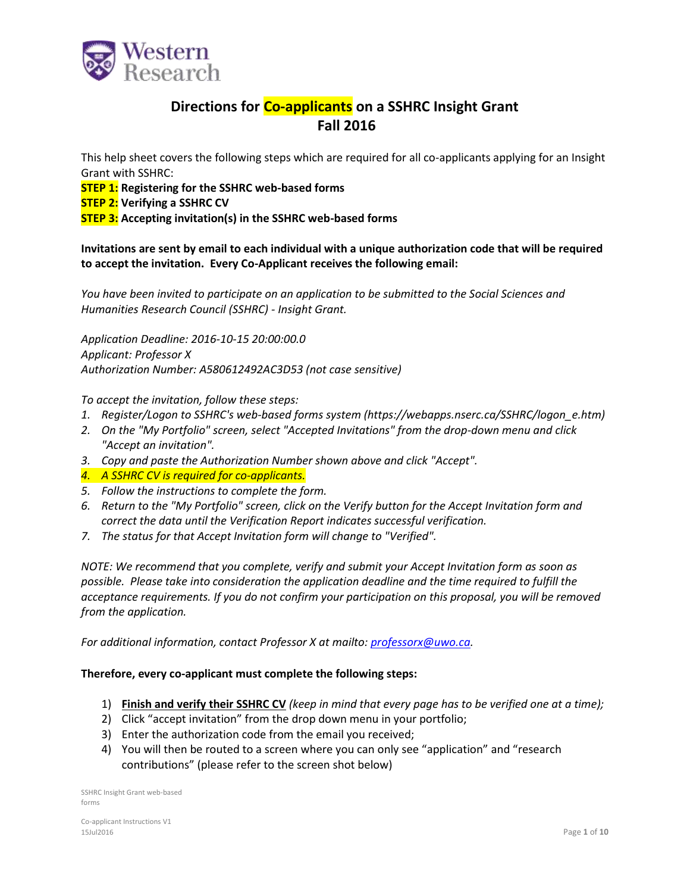

## **Directions for Co-applicants on a SSHRC Insight Grant Fall 2016**

This help sheet covers the following steps which are required for all co-applicants applying for an Insight Grant with SSHRC:

**STEP 1: Registering for the SSHRC web-based forms**

**STEP 2: Verifying a SSHRC CV**

**STEP 3: Accepting invitation(s) in the SSHRC web-based forms**

**Invitations are sent by email to each individual with a unique authorization code that will be required to accept the invitation. Every Co-Applicant receives the following email:**

*You have been invited to participate on an application to be submitted to the Social Sciences and Humanities Research Council (SSHRC) - Insight Grant.*

*Application Deadline: 2016-10-15 20:00:00.0 Applicant: Professor X Authorization Number: A580612492AC3D53 (not case sensitive)*

*To accept the invitation, follow these steps:*

- *1. Register/Logon to SSHRC's web-based forms system (https://webapps.nserc.ca/SSHRC/logon\_e.htm)*
- *2. On the "My Portfolio" screen, select "Accepted Invitations" from the drop-down menu and click "Accept an invitation".*
- *3. Copy and paste the Authorization Number shown above and click "Accept".*
- *4. A SSHRC CV is required for co-applicants.*
- *5. Follow the instructions to complete the form.*
- *6. Return to the "My Portfolio" screen, click on the Verify button for the Accept Invitation form and correct the data until the Verification Report indicates successful verification.*
- *7. The status for that Accept Invitation form will change to "Verified".*

*NOTE: We recommend that you complete, verify and submit your Accept Invitation form as soon as possible. Please take into consideration the application deadline and the time required to fulfill the acceptance requirements. If you do not confirm your participation on this proposal, you will be removed from the application.*

*For additional information, contact Professor X at mailto: [professorx@uwo.ca.](mailto:professorx@uwo.ca)* 

### **Therefore, every co-applicant must complete the following steps:**

- 1) **Finish and verify their SSHRC CV** *(keep in mind that every page has to be verified one at a time);*
- 2) Click "accept invitation" from the drop down menu in your portfolio;
- 3) Enter the authorization code from the email you received;
- 4) You will then be routed to a screen where you can only see "application" and "research contributions" (please refer to the screen shot below)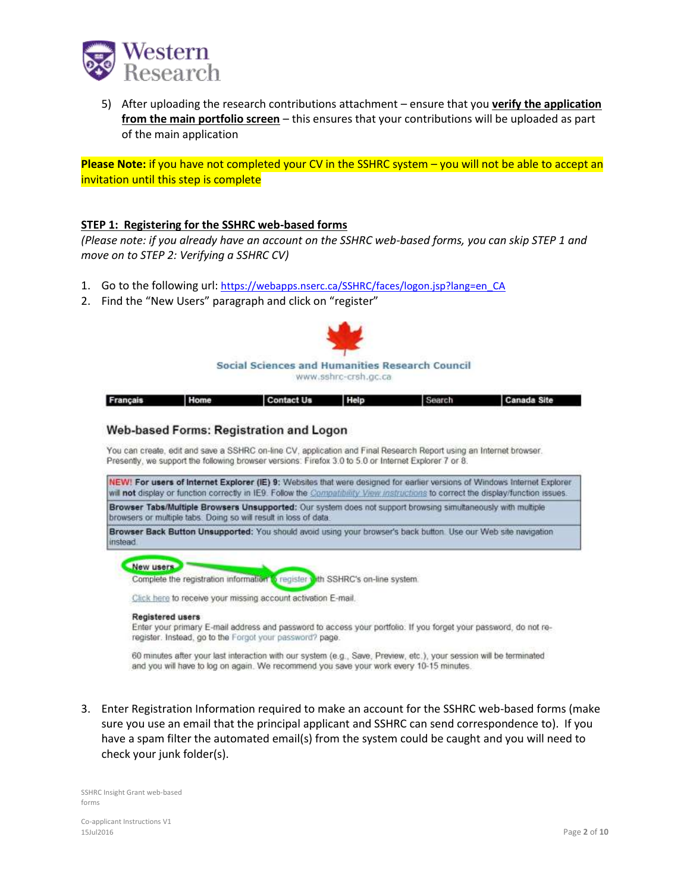

5) After uploading the research contributions attachment – ensure that you **verify the application from the main portfolio screen** – this ensures that your contributions will be uploaded as part of the main application

**Please Note:** if you have not completed your CV in the SSHRC system – you will not be able to accept an invitation until this step is complete

### **STEP 1: Registering for the SSHRC web-based forms**

*(Please note: if you already have an account on the SSHRC web-based forms, you can skip STEP 1 and move on to STEP 2: Verifying a SSHRC CV)*

- 1. Go to the following url: [https://webapps.nserc.ca/SSHRC/faces/logon.jsp?lang=en\\_CA](https://webapps.nserc.ca/SSHRC/faces/logon.jsp?lang=en_CA)
- 2. Find the "New Users" paragraph and click on "register"



| Français | <b>Home</b> | <b>Contact Us</b> | Search | Canada Site |
|----------|-------------|-------------------|--------|-------------|
|          |             |                   |        |             |

### Web-based Forms: Registration and Logon

You can create, edit and save a SSHRC on-line CV, application and Final Research Report using an Internet browser. Presently, we support the following browser versions: Firefox 3.0 to 5.0 or Internet Explorer 7 or 8.

NEW! For users of Internet Explorer (IE) 9: Websites that were designed for earlier versions of Windows Internet Explorer will not display or function correctly in IE9. Follow the Compatibility View instructions to correct the display/function issues.

Browser Tabs/Multiple Browsers Unsupported: Our system does not support browsing simultaneously with multiple browsers or multiple tabs. Doing so will result in loss of data.

Browser Back Button Unsupported: You should avoid using your browser's back button. Use our Web site navigation instead

### New users

Complete the registration information *i* register **i** th SSHRC's on-line system.

Click here to receive your missing account activation E-mail.

#### **Registered users**

Enter your primary E-mail address and password to access your portfolio. If you forget your password, do not reregister. Instead, go to the Forgot your password? page.

60 minutes after your last interaction with our system (e.g., Save, Preview, etc.), your session will be terminated and you will have to log on again. We recommend you save your work every 10-15 minutes.

3. Enter Registration Information required to make an account for the SSHRC web-based forms (make sure you use an email that the principal applicant and SSHRC can send correspondence to). If you have a spam filter the automated email(s) from the system could be caught and you will need to check your junk folder(s).

SSHRC Insight Grant web-based forms

Co-applicant Instructions V1 15Jul2016 Page **2** of **10**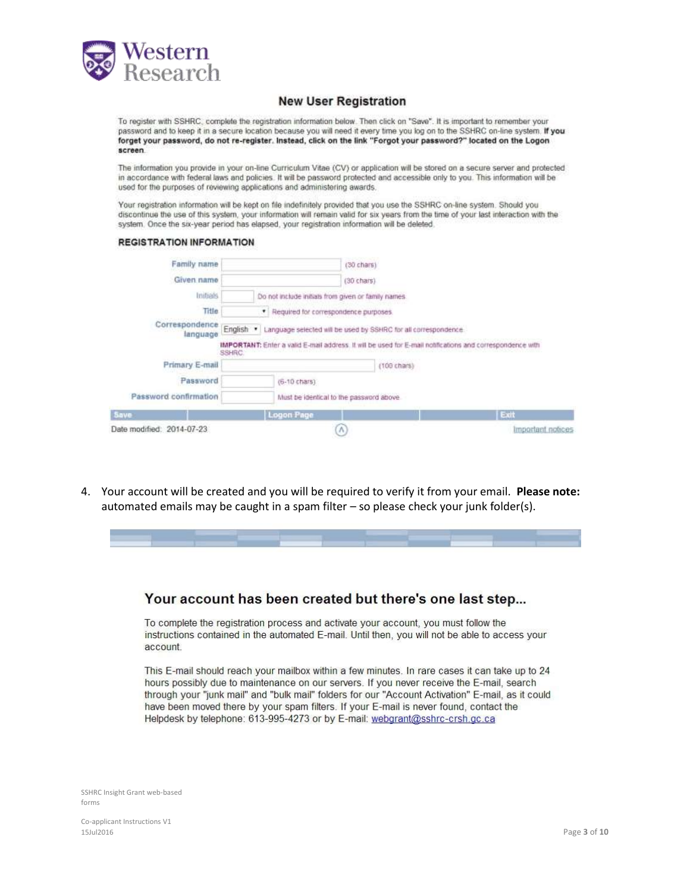

### **New User Registration**

To register with SSHRC, complete the registration information below. Then click on "Save". It is important to remember your password and to keep it in a secure location because you will need it every time you log on to the SSHRC on-line system. If you forget your password, do not re-register. Instead, click on the link "Forgot your password?" located on the Logon screen

The information you provide in your on-line Curriculum Vitae (CV) or application will be stored on a secure server and protected in accordance with federal laws and policies. It will be password protected and accessible only to you. This information will be used for the purposes of reviewing applications and administering awards.

Your registration information will be kept on file indefinitely provided that you use the SSHRC on-line system. Should you discontinue the use of this system, your information will remain valid for six years from the time of your last interaction with the system. Once the six-year period has elapsed, your registration information will be deleted.

### **REGISTRATION INFORMATION**

| Family name                |        |                                                     | $(30 \text{ chars})$                                                      |                                                                                                           |
|----------------------------|--------|-----------------------------------------------------|---------------------------------------------------------------------------|-----------------------------------------------------------------------------------------------------------|
| Given name                 |        |                                                     | $(30 \text{ chars})$                                                      |                                                                                                           |
| Initials                   |        | Do not include initials from given or family names. |                                                                           |                                                                                                           |
| Title                      |        | · Required for correspondence purposes.             |                                                                           |                                                                                                           |
| Correspondence<br>language |        |                                                     | English . Language selected will be used by SSHRC for all correspondence. |                                                                                                           |
|                            | SSHRC: |                                                     |                                                                           | IMPORTANT: Enter a valid E-mail address. It will be used for E-mail notifications and correspondence with |
| Primary E-mail             |        |                                                     | $(100 \text{ chars})$                                                     |                                                                                                           |
| Password                   |        | $(6-10 \text{ chars})$                              |                                                                           |                                                                                                           |
| Password confirmation      |        | Must be identical to the password above.            |                                                                           |                                                                                                           |
| Save                       |        | <b>Logon Page</b>                                   |                                                                           | Exit                                                                                                      |
| Date modified: 2014-07-23  |        | $\Lambda$                                           |                                                                           | Important notices                                                                                         |

4. Your account will be created and you will be required to verify it from your email. **Please note:** automated emails may be caught in a spam filter – so please check your junk folder(s).

# Your account has been created but there's one last step...

To complete the registration process and activate your account, you must follow the instructions contained in the automated E-mail. Until then, you will not be able to access your account.

This E-mail should reach your mailbox within a few minutes. In rare cases it can take up to 24 hours possibly due to maintenance on our servers. If you never receive the E-mail, search through your "junk mail" and "bulk mail" folders for our "Account Activation" E-mail, as it could have been moved there by your spam filters. If your E-mail is never found, contact the Helpdesk by telephone: 613-995-4273 or by E-mail: webgrant@sshrc-crsh.gc.ca

SSHRC Insight Grant web-based forms

Co-applicant Instructions V1 15Jul2016 Page **3** of **10**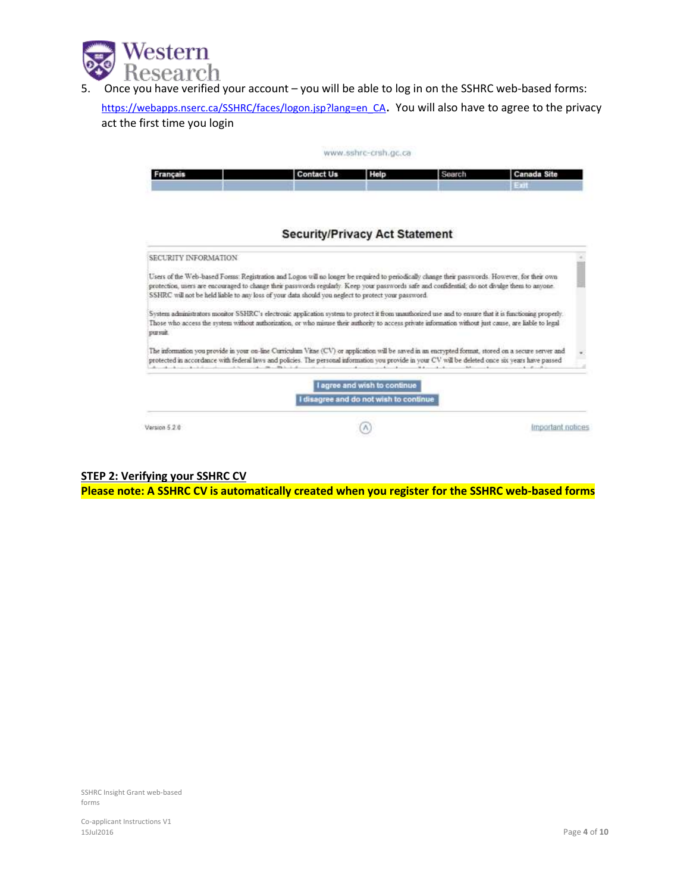

5. Once you have verified your account – you will be able to log in on the SSHRC web-based forms:

[https://webapps.nserc.ca/SSHRC/faces/logon.jsp?lang=en\\_CA](https://webapps.nserc.ca/SSHRC/faces/logon.jsp?lang=en_CA). You will also have to agree to the privacy act the first time you login

|                      |                                                                                                                                                                                                                                                                                                                                                                                                          | www.sshrc-crsh.gc.ca         |        |                           |
|----------------------|----------------------------------------------------------------------------------------------------------------------------------------------------------------------------------------------------------------------------------------------------------------------------------------------------------------------------------------------------------------------------------------------------------|------------------------------|--------|---------------------------|
| Français             | <b>Contact Us</b>                                                                                                                                                                                                                                                                                                                                                                                        | Help                         | Search | <b>Canada Site</b><br>201 |
|                      | <b>Security/Privacy Act Statement</b>                                                                                                                                                                                                                                                                                                                                                                    |                              |        |                           |
| SECURITY INFORMATION |                                                                                                                                                                                                                                                                                                                                                                                                          |                              |        |                           |
|                      | Users of the Web-based Forms: Registration and Logon will no longer be required to periodically change their passwords. However, for their own<br>protection, users are encouraged to change their passwords regularly. Keep your passwords safe and confidential, do not divulge them to anyone.<br>SSHRC will not be held liable to any loss of your data should you neglect to protect your password. |                              |        |                           |
| pursuit.             | System administrators monitor SSHRC's electronic application system to protect it from unauthorized use and to ensure that it is functioning properly.<br>Those who access the system without authorization, or who misuse their authority to access private information without just cause, are liable to legal                                                                                         |                              |        |                           |
|                      | The information you provide in your on-line Curriculum Vitne (CV) or application will be saved in an encrypted format, stored on a secure server and<br>protected in accordance with federal laws and policies. The personal information you provide in your CV will be deleted once six years have passed                                                                                               |                              |        |                           |
|                      | I disagree and do not wish to continue                                                                                                                                                                                                                                                                                                                                                                   | I agree and wish to continue |        |                           |
| Version 5.2.0        |                                                                                                                                                                                                                                                                                                                                                                                                          |                              |        | Important notices         |

### **STEP 2: Verifying your SSHRC CV**

**Please note: A SSHRC CV is automatically created when you register for the SSHRC web-based forms**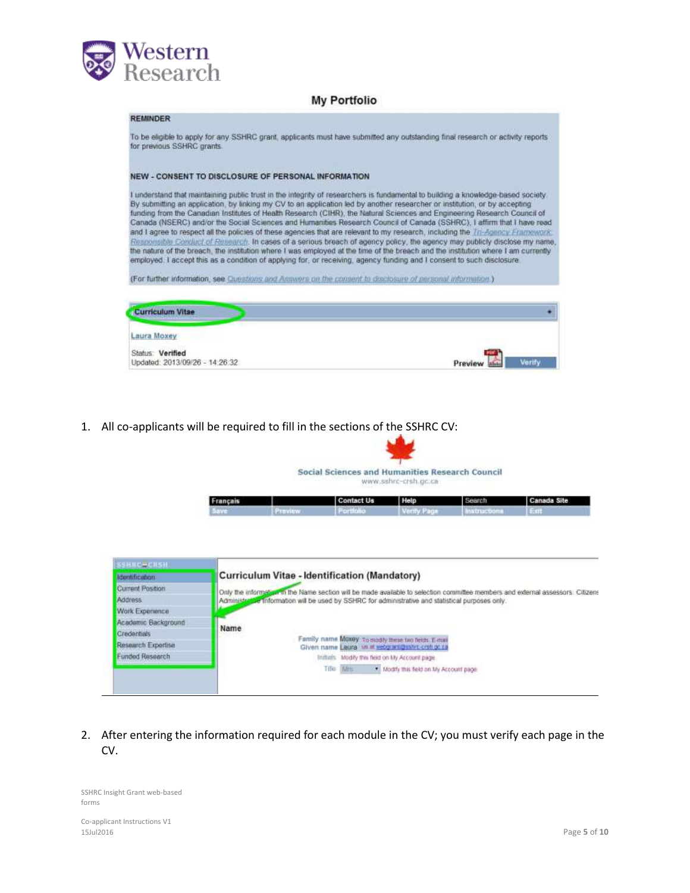

## **My Portfolio**

## **REMINDER** To be eligible to apply for any SSHRC grant, applicants must have submitted any outstanding final research or activity reports. for previous SSHRC grants. NEW - CONSENT TO DISCLOSURE OF PERSONAL INFORMATION I understand that maintaining public trust in the integrity of researchers is fundamental to building a knowledge-based society. By submitting an application, by linking my CV to an application led by another researcher or institution, or by accepting funding from the Canadian Institutes of Health Research (CIHR), the Natural Sciences and Engineering Research Council of Canada (NSERC) and/or the Social Sciences and Humanities Research Council of Canada (SSHRC), I affirm that I have read and I agree to respect all the policies of these agencies that are relevant to my research, including the Tri-Agency Framework. Responsible Conduct of Research. In cases of a serious breach of agency policy, the agency may publicly disclose my name, the nature of the breach, the institution where I was employed at the time of the breach and the institution where I am currently employed. I accept this as a condition of applying for, or receiving, agency funding and I consent to such disclosure. (For further information, see Questions and Anawers on the consent to disclosure of personal information.) **Curriculum Vitae** Laura Moxey Status: Verified Updated: 2013/09/26 - 14:26:32 Preview

1. All co-applicants will be required to fill in the sections of the SSHRC CV:



Social Sciences and Humanities Research Council www.sshrc-crsh.gc.ca

| Français | <b>Contact Us</b> | Help | Search | Canada Site |
|----------|-------------------|------|--------|-------------|
|          |                   |      |        |             |

| <b>SSBNCHCNSH</b>     |                                                                                                                                 |
|-----------------------|---------------------------------------------------------------------------------------------------------------------------------|
| <b>Identification</b> | Curriculum Vitae - Identification (Mandatory)                                                                                   |
| Current Position      | Only the information in the Name section will be made available to selection committee members and external assessors. Citizens |
| Address:              | Administrative information will be used by SSHRC for administrative and statistical purposes only.                              |
| Work Experience       |                                                                                                                                 |
| Academic Background   |                                                                                                                                 |
| Credentials           | Name                                                                                                                            |
| Research Exportise    | Family name Moxey To modily these two fields. E-mail<br>Given name Laura us at economics for crshop to                          |
| Funded Research       | Initials Modify this field on My Account page.                                                                                  |
|                       | Title Min<br>* Modify this field on My Account page                                                                             |

2. After entering the information required for each module in the CV; you must verify each page in the CV.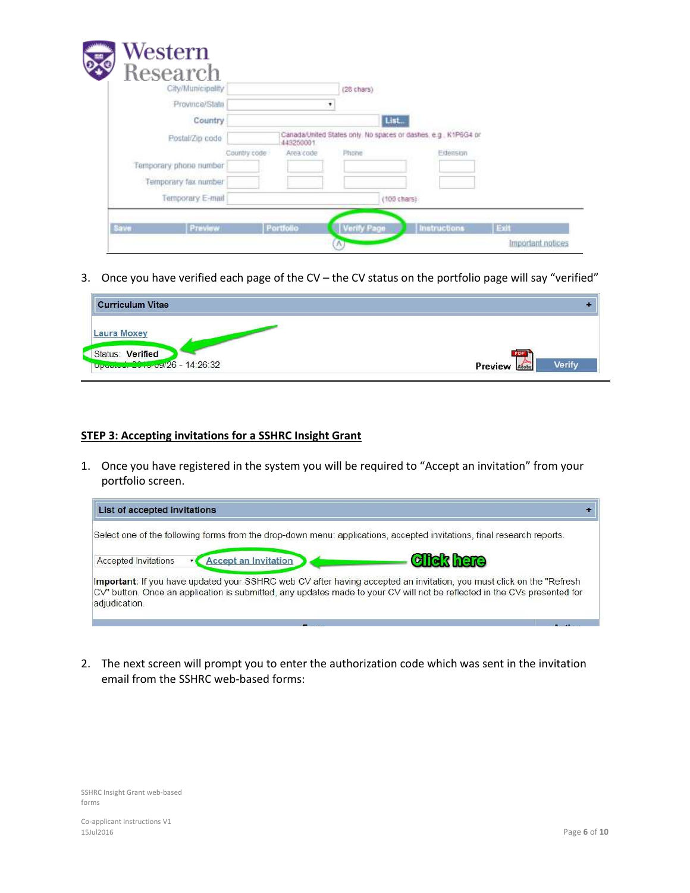| $\sqrt{\frac{1}{2}}$<br>Research<br>City/Municipality |              |                                                                              | (28 chars) |                       |  |
|-------------------------------------------------------|--------------|------------------------------------------------------------------------------|------------|-----------------------|--|
| Province/State                                        |              |                                                                              |            |                       |  |
| Country                                               |              |                                                                              | List       |                       |  |
| Postal/Zip code                                       |              | Canada/United States only. No spaces or dashes, e.g., K1P6G4 or<br>443250001 |            |                       |  |
|                                                       | Country code | Area code                                                                    | Phone      | Extension             |  |
| Temporary phone number                                |              |                                                                              |            |                       |  |
| Temporary fax number                                  |              |                                                                              |            |                       |  |
| Temporary E-mail                                      |              |                                                                              |            | $(100 \text{ chars})$ |  |

3. Once you have verified each page of the CV – the CV status on the portfolio page will say "verified"

| <b>Curriculum Vitae</b>        |                            |
|--------------------------------|----------------------------|
| Laura Moxey                    |                            |
| Status: Verified               |                            |
| Updated: 2019/09/26 - 14:26:32 | Verify<br>Preview<br>Adobe |

### **STEP 3: Accepting invitations for a SSHRC Insight Grant**

1. Once you have registered in the system you will be required to "Accept an invitation" from your portfolio screen.

| Select one of the following forms from the drop-down menu: applications, accepted invitations, final research reports.<br><b>Click here</b><br><b>Accept an Invitation</b><br>Accepted Invitations<br>Important: If you have updated your SSHRC web CV after having accepted an invitation, you must click on the "Refresh<br>CV" button. Once an application is submitted, any updates made to your CV will not be reflected in the CVs presented for<br>adjudication. | List of accepted invitations |  |
|-------------------------------------------------------------------------------------------------------------------------------------------------------------------------------------------------------------------------------------------------------------------------------------------------------------------------------------------------------------------------------------------------------------------------------------------------------------------------|------------------------------|--|
|                                                                                                                                                                                                                                                                                                                                                                                                                                                                         |                              |  |
|                                                                                                                                                                                                                                                                                                                                                                                                                                                                         |                              |  |
|                                                                                                                                                                                                                                                                                                                                                                                                                                                                         |                              |  |
|                                                                                                                                                                                                                                                                                                                                                                                                                                                                         |                              |  |

2. The next screen will prompt you to enter the authorization code which was sent in the invitation email from the SSHRC web-based forms: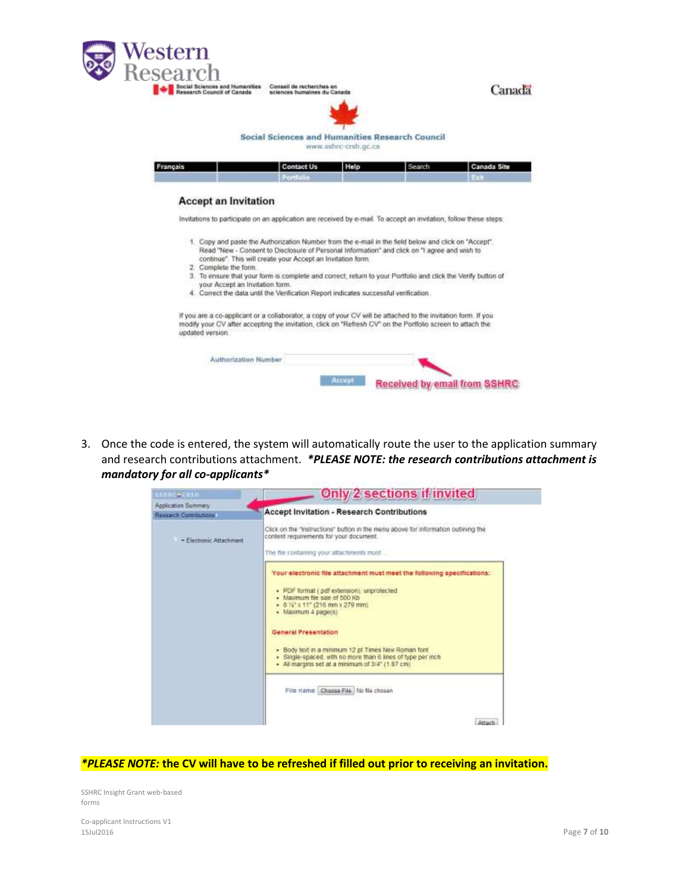

3. Once the code is entered, the system will automatically route the user to the application summary and research contributions attachment. *\*PLEASE NOTE: the research contributions attachment is mandatory for all co-applicants\**

| SSHAC-CHSH                 | Only 2 sections if invited                                                                                                                                              |
|----------------------------|-------------------------------------------------------------------------------------------------------------------------------------------------------------------------|
| Application Summary        |                                                                                                                                                                         |
| <b>Research Commutens:</b> | <b>Accept Invitation - Research Contributions</b>                                                                                                                       |
| - Electronic Attachment    | Click on the "Instructions" button in the menu above for information outlining the<br>content requirements for your document.                                           |
|                            | The file containing your attachments must                                                                                                                               |
|                            | Your electronic file attachment must meet the following specifications:<br>· PDF format ( pdf extension), unprotected                                                   |
|                            | . Maximum file size of 800 Kb<br>+ 8 %" x 11" (216 mm x 279 mm)<br>· Maximum 4 page(s)                                                                                  |
|                            | General Presentation                                                                                                                                                    |
|                            | . Body text in a minimum 12 pt Times New Roman font<br>· Single-spaced, with no more than 6 lines of type per inch.<br>· All margins set at a minimum of 3/4" (1.87 cm) |
|                            | File name Choose File No fle chosen                                                                                                                                     |
|                            | Attach                                                                                                                                                                  |

### *\*PLEASE NOTE:* **the CV will have to be refreshed if filled out prior to receiving an invitation.**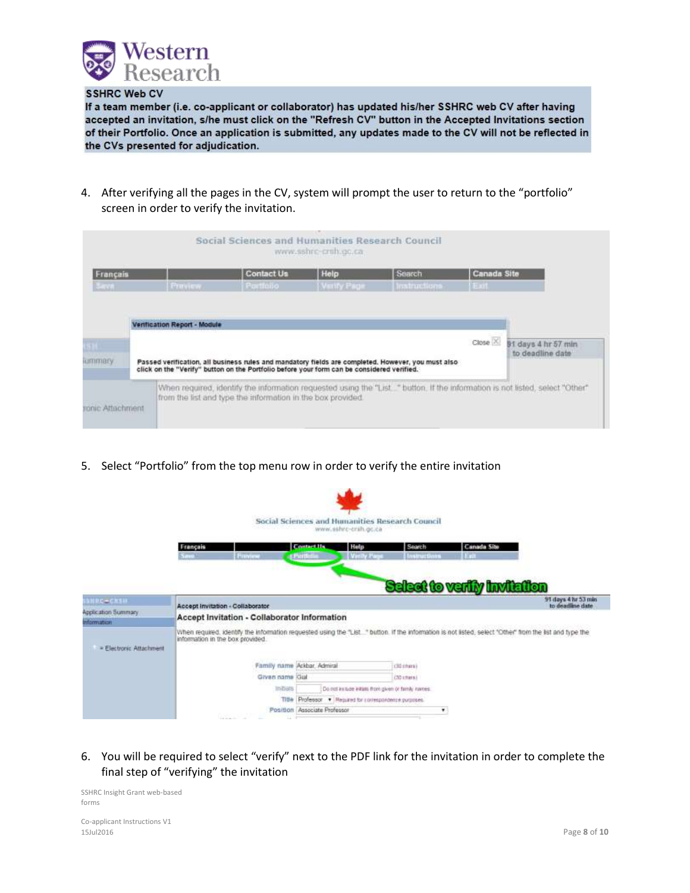

### **SSHRC Web CV**

If a team member (i.e. co-applicant or collaborator) has updated his/her SSHRC web CV after having accepted an invitation, s/he must click on the "Refresh CV" button in the Accepted Invitations section of their Portfolio. Once an application is submitted, any updates made to the CV will not be reflected in the CVs presented for adjudication.

4. After verifying all the pages in the CV, system will prompt the user to return to the "portfolio" screen in order to verify the invitation.

|                  |                              | Social Sciences and Humanities Research Council                                                                                                                                                  | www.sshrc-craft.go.ca. |                     |                    |                                                                                                                              |
|------------------|------------------------------|--------------------------------------------------------------------------------------------------------------------------------------------------------------------------------------------------|------------------------|---------------------|--------------------|------------------------------------------------------------------------------------------------------------------------------|
| Français         |                              | <b>Contact Us</b>                                                                                                                                                                                | Help                   | Search              | <b>Canada Site</b> |                                                                                                                              |
| <b>BATTER</b>    | <b>PERMITTE</b>              | Portfolio                                                                                                                                                                                        | Vinity Page            | <b>Instructions</b> | 1891               |                                                                                                                              |
|                  | Verification Report - Module |                                                                                                                                                                                                  |                        |                     |                    |                                                                                                                              |
|                  |                              |                                                                                                                                                                                                  |                        |                     | $Close \times$     | 91 days 4 hr 57 min                                                                                                          |
| ummery           |                              | Passed verification, all business rules and mandatory fields are completed. However, you must also<br>click on the "Verify" button on the Portfolio before your form can be considered verified. |                        |                     |                    | to deadline date                                                                                                             |
|                  |                              | from the list and type the information in the box provided.                                                                                                                                      |                        |                     |                    | When required, identify the information requested using the "List." button, if the information is not listed, select "Other" |
| ronic Attachment |                              |                                                                                                                                                                                                  |                        |                     |                    |                                                                                                                              |

5. Select "Portfolio" from the top menu row in order to verify the entire invitation



6. You will be required to select "verify" next to the PDF link for the invitation in order to complete the final step of "verifying" the invitation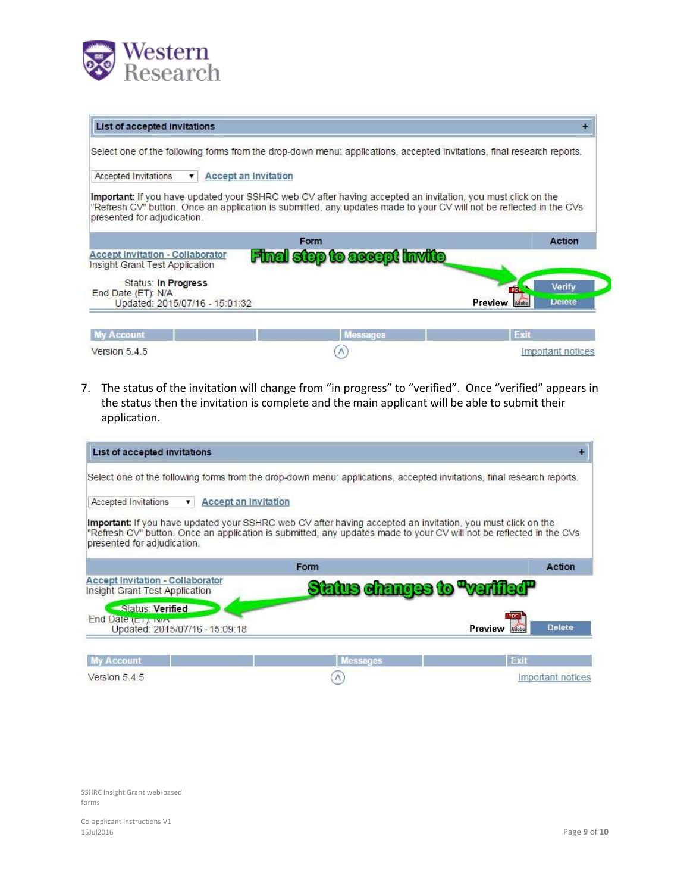

| Select one of the following forms from the drop-down menu: applications, accepted invitations, final research reports.                                                                                                                                                   |                                    |                            |
|--------------------------------------------------------------------------------------------------------------------------------------------------------------------------------------------------------------------------------------------------------------------------|------------------------------------|----------------------------|
| Accepted Invitations<br><b>Accept an Invitation</b><br>▼                                                                                                                                                                                                                 |                                    |                            |
| <b>Important:</b> If you have updated your SSHRC web CV after having accepted an invitation, you must click on the<br>"Refresh CV" button. Once an application is submitted, any updates made to your CV will not be reflected in the CVs<br>presented for adjudication. |                                    |                            |
|                                                                                                                                                                                                                                                                          | Form                               | <b>Action</b>              |
| <b>Accept Invitation - Collaborator</b>                                                                                                                                                                                                                                  | <b>Final step to accept invite</b> |                            |
|                                                                                                                                                                                                                                                                          |                                    |                            |
| Status: In Progress                                                                                                                                                                                                                                                      |                                    | Verify<br>PDF              |
| Updated: 2015/07/16 - 15:01:32                                                                                                                                                                                                                                           |                                    | Preview<br>Detete<br>Adobe |
| Insight Grant Test Application<br>End Date (ET): N/A<br><b>My Account</b>                                                                                                                                                                                                | <b>Messages</b>                    | Exit                       |

7. The status of the invitation will change from "in progress" to "verified". Once "verified" appears in the status then the invitation is complete and the main applicant will be able to submit their application.

| List of accepted invitations                                                                                                                                                                                                                                             |                                    |                          |
|--------------------------------------------------------------------------------------------------------------------------------------------------------------------------------------------------------------------------------------------------------------------------|------------------------------------|--------------------------|
| Select one of the following forms from the drop-down menu: applications, accepted invitations, final research reports.                                                                                                                                                   |                                    |                          |
| <b>Accept an Invitation</b><br>Accepted Invitations<br>▼                                                                                                                                                                                                                 |                                    |                          |
| <b>Important:</b> If you have updated your SSHRC web CV after having accepted an invitation, you must click on the<br>"Refresh CV" button. Once an application is submitted, any updates made to your CV will not be reflected in the CVs<br>presented for adjudication. |                                    |                          |
|                                                                                                                                                                                                                                                                          | Form                               | <b>Action</b>            |
| <b>Accept Invitation - Collaborator</b><br>Insight Grant Test Application                                                                                                                                                                                                | <b>Shius changes to "verified"</b> |                          |
| Status: Verified<br>End Date $(E_1)$ , $W \wedge$<br>Updated: 2015/07/16 - 15:09:18                                                                                                                                                                                      |                                    | Preview<br><b>Delete</b> |
| <b>My Account</b>                                                                                                                                                                                                                                                        | <b>Messages</b>                    | Fxit                     |
| Version 5.4.5                                                                                                                                                                                                                                                            |                                    | Important notices        |